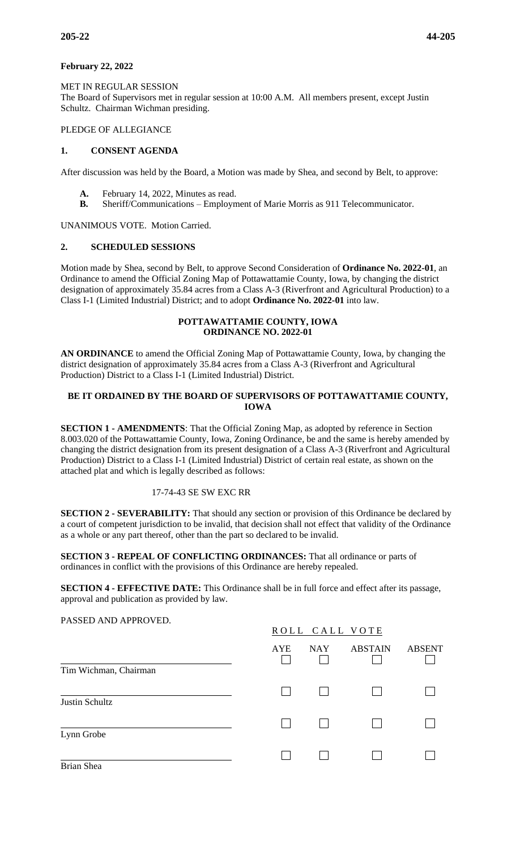### **February 22, 2022**

MET IN REGULAR SESSION The Board of Supervisors met in regular session at 10:00 A.M. All members present, except Justin Schultz. Chairman Wichman presiding.

#### PLEDGE OF ALLEGIANCE

# **1. CONSENT AGENDA**

After discussion was held by the Board, a Motion was made by Shea, and second by Belt, to approve:

- **A.** February 14, 2022, Minutes as read.
- **B.** Sheriff/Communications Employment of Marie Morris as 911 Telecommunicator.

UNANIMOUS VOTE. Motion Carried.

#### **2. SCHEDULED SESSIONS**

Motion made by Shea, second by Belt, to approve Second Consideration of **Ordinance No. 2022-01**, an Ordinance to amend the Official Zoning Map of Pottawattamie County, Iowa, by changing the district designation of approximately 35.84 acres from a Class A-3 (Riverfront and Agricultural Production) to a Class I-1 (Limited Industrial) District; and to adopt **Ordinance No. 2022-01** into law.

#### **POTTAWATTAMIE COUNTY, IOWA ORDINANCE NO. 2022-01**

**AN ORDINANCE** to amend the Official Zoning Map of Pottawattamie County, Iowa, by changing the district designation of approximately 35.84 acres from a Class A-3 (Riverfront and Agricultural Production) District to a Class I-1 (Limited Industrial) District.

### **BE IT ORDAINED BY THE BOARD OF SUPERVISORS OF POTTAWATTAMIE COUNTY, IOWA**

**SECTION 1 - AMENDMENTS**: That the Official Zoning Map, as adopted by reference in Section 8.003.020 of the Pottawattamie County, Iowa, Zoning Ordinance, be and the same is hereby amended by changing the district designation from its present designation of a Class A-3 (Riverfront and Agricultural Production) District to a Class I-1 (Limited Industrial) District of certain real estate, as shown on the attached plat and which is legally described as follows:

#### 17-74-43 SE SW EXC RR

**SECTION 2 - SEVERABILITY:** That should any section or provision of this Ordinance be declared by a court of competent jurisdiction to be invalid, that decision shall not effect that validity of the Ordinance as a whole or any part thereof, other than the part so declared to be invalid.

**SECTION 3 - REPEAL OF CONFLICTING ORDINANCES:** That all ordinance or parts of ordinances in conflict with the provisions of this Ordinance are hereby repealed.

**SECTION 4 - EFFECTIVE DATE:** This Ordinance shall be in full force and effect after its passage, approval and publication as provided by law.

PASSED AND APPROVED.

|                       |            | ROLL CALL VOTE |                |               |  |  |
|-----------------------|------------|----------------|----------------|---------------|--|--|
| Tim Wichman, Chairman | <b>AYE</b> | <b>NAY</b>     | <b>ABSTAIN</b> | <b>ABSENT</b> |  |  |
| Justin Schultz        |            |                |                |               |  |  |
| Lynn Grobe            |            |                |                |               |  |  |
| Brian Shea            |            |                |                |               |  |  |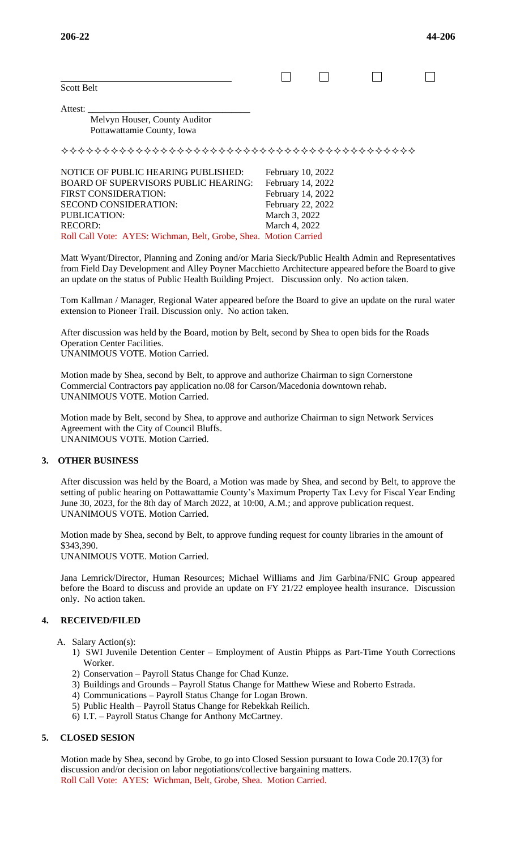| <b>Scott Belt</b>                           |                   |  |  |
|---------------------------------------------|-------------------|--|--|
| Attest:                                     |                   |  |  |
| Melvyn Houser, County Auditor               |                   |  |  |
| Pottawattamie County, Iowa                  |                   |  |  |
|                                             |                   |  |  |
| NOTICE OF PUBLIC HEARING PUBLISHED:         | February 10, 2022 |  |  |
| <b>BOARD OF SUPERVISORS PUBLIC HEARING:</b> | February 14, 2022 |  |  |
| FIRST CONSIDERATION:                        | February 14, 2022 |  |  |
| SECOND CONSIDERATION:                       | February 22, 2022 |  |  |
| <b>PUBLICATION:</b>                         | March 3, 2022     |  |  |

Matt Wyant/Director, Planning and Zoning and/or Maria Sieck/Public Health Admin and Representatives from Field Day Development and Alley Poyner Macchietto Architecture appeared before the Board to give an update on the status of Public Health Building Project. Discussion only. No action taken.

Tom Kallman / Manager, Regional Water appeared before the Board to give an update on the rural water extension to Pioneer Trail. Discussion only. No action taken.

After discussion was held by the Board, motion by Belt, second by Shea to open bids for the Roads Operation Center Facilities. UNANIMOUS VOTE. Motion Carried.

Motion made by Shea, second by Belt, to approve and authorize Chairman to sign Cornerstone Commercial Contractors pay application no.08 for Carson/Macedonia downtown rehab.

RECORD: March 4, 2022 Roll Call Vote: AYES: Wichman, Belt, Grobe, Shea. Motion Carried

Motion made by Belt, second by Shea, to approve and authorize Chairman to sign Network Services Agreement with the City of Council Bluffs. UNANIMOUS VOTE. Motion Carried.

#### **3. OTHER BUSINESS**

After discussion was held by the Board, a Motion was made by Shea, and second by Belt, to approve the setting of public hearing on Pottawattamie County's Maximum Property Tax Levy for Fiscal Year Ending June 30, 2023, for the 8th day of March 2022, at 10:00, A.M.; and approve publication request. UNANIMOUS VOTE. Motion Carried.

Motion made by Shea, second by Belt, to approve funding request for county libraries in the amount of \$343,390.

UNANIMOUS VOTE. Motion Carried.

UNANIMOUS VOTE. Motion Carried.

Jana Lemrick/Director, Human Resources; Michael Williams and Jim Garbina/FNIC Group appeared before the Board to discuss and provide an update on FY 21/22 employee health insurance. Discussion only. No action taken.

#### **4. RECEIVED/FILED**

A. Salary Action(s):

- 1) SWI Juvenile Detention Center Employment of Austin Phipps as Part-Time Youth Corrections Worker.
- 2) Conservation Payroll Status Change for Chad Kunze.
- 3) Buildings and Grounds Payroll Status Change for Matthew Wiese and Roberto Estrada.
- 4) Communications Payroll Status Change for Logan Brown.
- 5) Public Health Payroll Status Change for Rebekkah Reilich.
- 6) I.T. Payroll Status Change for Anthony McCartney.

# **5. CLOSED SESION**

Motion made by Shea, second by Grobe, to go into Closed Session pursuant to Iowa Code 20.17(3) for discussion and/or decision on labor negotiations/collective bargaining matters. Roll Call Vote: AYES: Wichman, Belt, Grobe, Shea. Motion Carried.